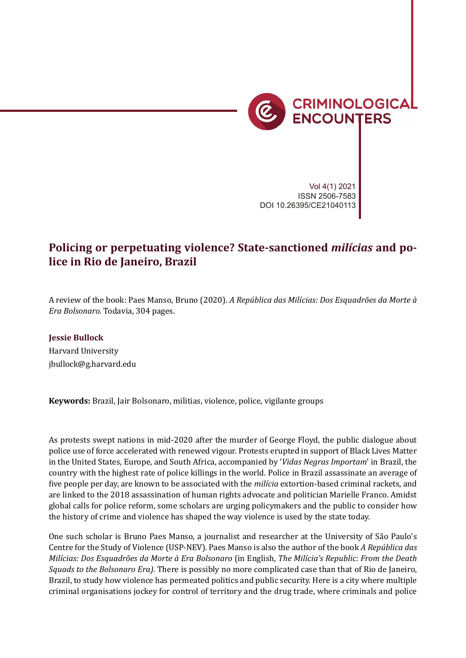

*Book review: ¡Bienvenidos al lawfare!* 179

Vol 4(1) 2021 ISSN 2506-7583 DOI 10.26395/CE21040113

## **Policing or perpetuating violence? State-sanctioned** *milícias* **and police in Rio de Janeiro, Brazil**

A review of the book: Paes Manso, Bruno (2020). *A República das Milícias: Dos Esquadrões da Morte à Era Bolsonaro.* Todavia, 304 pages.

## **Jessie Bullock**

Harvard University jbullock@g.harvard.edu

**Keywords:** Brazil, Jair Bolsonaro, militias, violence, police, vigilante groups

As protests swept nations in mid-2020 after the murder of George Floyd, the public dialogue about police use of force accelerated with renewed vigour. Protests erupted in support of Black Lives Matter in the United States, Europe, and South Africa, accompanied by '*Vidas Negras Importam*' in Brazil, the country with the highest rate of police killings in the world. Police in Brazil assassinate an average of �ive people per day, are known to be associated with the *milícia* extortion-based criminal rackets, and are linked to the 2018 assassination of human rights advocate and politician Marielle Franco. Amidst global calls for police reform, some scholars are urging policymakers and the public to consider how the history of crime and violence has shaped the way violence is used by the state today.

One such scholar is Bruno Paes Manso, a journalist and researcher at the University of São Paulo's Centre for the Study of Violence (USP-NEV). Paes Manso is also the author of the book *A República das Milícias: Dos Esquadrões da Morte à Era Bolsonaro* (in English, *The Milícia's Republic: From the Death Squads to the Bolsonaro Era).* There is possibly no more complicated case than that of Rio de Janeiro, Brazil, to study how violence has permeated politics and public security. Here is a city where multiple criminal organisations jockey for control of territory and the drug trade, where criminals and police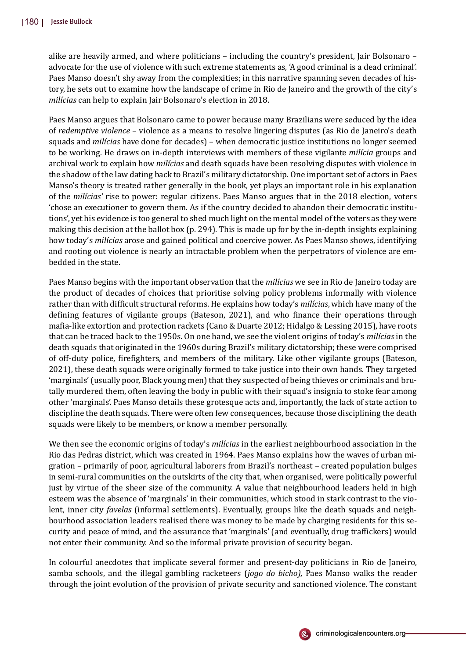alike are heavily armed, and where politicians – including the country's president, Jair Bolsonaro – advocate for the use of violence with such extreme statements as, 'A good criminal is a dead criminal'. Paes Manso doesn't shy away from the complexities; in this narrative spanning seven decades of history, he sets out to examine how the landscape of crime in Rio de Janeiro and the growth of the city's *milícias* can help to explain Jair Bolsonaro's election in 2018.

Paes Manso argues that Bolsonaro came to power because many Brazilians were seduced by the idea of *redemptive violence* – violence as a means to resolve lingering disputes (as Rio de Janeiro's death squads and *milícias* have done for decades) – when democratic justice institutions no longer seemed to be working. He draws on in-depth interviews with members of these vigilante *milícia* groups and archival work to explain how *milícias* and death squads have been resolving disputes with violence in the shadow of the law dating back to Brazil's military dictatorship. One important set of actors in Paes Manso's theory is treated rather generally in the book, yet plays an important role in his explanation of the *milícias'* rise to power: regular citizens. Paes Manso argues that in the 2018 election, voters 'chose an executioner to govern them. As if the country decided to abandon their democratic institutions', yet his evidence is too general to shed much light on the mental model of the voters as they were making this decision at the ballot box (p. 294). This is made up for by the in-depth insights explaining how today's *milícias* arose and gained political and coercive power. As Paes Manso shows, identifying and rooting out violence is nearly an intractable problem when the perpetrators of violence are embedded in the state.

Paes Manso begins with the important observation that the *milícias* we see in Rio de Janeiro today are the product of decades of choices that prioritise solving policy problems informally with violence rather than with difficult structural reforms. He explains how today's *milícias*, which have many of the defining features of vigilante groups (Bateson, 2021), and who finance their operations through ma�ia-like extortion and protection rackets (Cano & Duarte 2012; Hidalgo & Lessing 2015), have roots that can be traced back to the 1950s. On one hand, we see the violent origins of today's *milícias* in the death squads that originated in the 1960s during Brazil's military dictatorship; these were comprised of off-duty police, �ire�ighters, and members of the military. Like other vigilante groups (Bateson, 2021), these death squads were originally formed to take justice into their own hands. They targeted 'marginals' (usually poor, Black young men) that they suspected of being thieves or criminals and brutally murdered them, often leaving the body in public with their squad's insignia to stoke fear among other 'marginals'. Paes Manso details these grotesque acts and, importantly, the lack of state action to discipline the death squads. There were often few consequences, because those disciplining the death squads were likely to be members, or know a member personally.

We then see the economic origins of today's *milícias* in the earliest neighbourhood association in the Rio das Pedras district, which was created in 1964. Paes Manso explains how the waves of urban migration – primarily of poor, agricultural laborers from Brazil's northeast – created population bulges in semi-rural communities on the outskirts of the city that, when organised, were politically powerful just by virtue of the sheer size of the community. A value that neighbourhood leaders held in high esteem was the absence of 'marginals' in their communities, which stood in stark contrast to the violent, inner city *favelas* (informal settlements). Eventually, groups like the death squads and neighbourhood association leaders realised there was money to be made by charging residents for this security and peace of mind, and the assurance that 'marginals' (and eventually, drug traf�ickers) would not enter their community. And so the informal private provision of security began.

In colourful anecdotes that implicate several former and present-day politicians in Rio de Janeiro, samba schools, and the illegal gambling racketeers (*jogo do bicho),* Paes Manso walks the reader through the joint evolution of the provision of private security and sanctioned violence. The constant

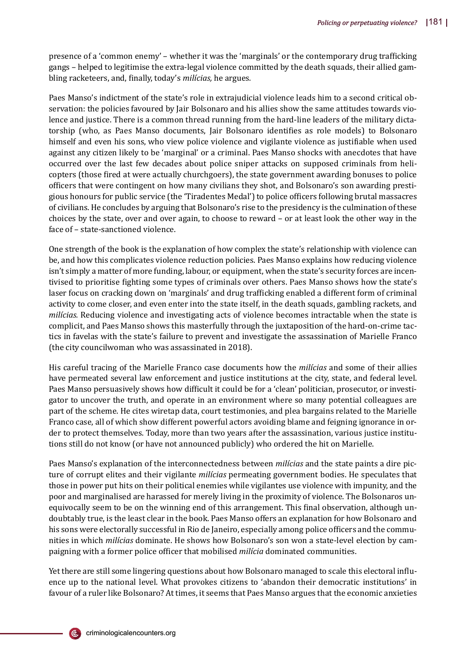presence of a 'common enemy' – whether it was the 'marginals' or the contemporary drug traf�icking gangs – helped to legitimise the extra-legal violence committed by the death squads, their allied gambling racketeers, and, �inally, today's *milícias,* he argues*.*

Paes Manso's indictment of the state's role in extrajudicial violence leads him to a second critical observation: the policies favoured by Jair Bolsonaro and his allies show the same attitudes towards violence and justice. There is a common thread running from the hard-line leaders of the military dictatorship (who, as Paes Manso documents, Jair Bolsonaro identi�ies as role models) to Bolsonaro himself and even his sons, who view police violence and vigilante violence as justi�iable when used against any citizen likely to be 'marginal' or a criminal. Paes Manso shocks with anecdotes that have occurred over the last few decades about police sniper attacks on supposed criminals from helicopters (those �ired at were actually churchgoers), the state government awarding bonuses to police of�icers that were contingent on how many civilians they shot, and Bolsonaro's son awarding prestigious honours for public service (the 'Tiradentes Medal') to police of�icers following brutal massacres of civilians. He concludes by arguing that Bolsonaro's rise to the presidency is the culmination of these choices by the state, over and over again, to choose to reward – or at least look the other way in the face of – state-sanctioned violence.

One strength of the book is the explanation of how complex the state's relationship with violence can be, and how this complicates violence reduction policies. Paes Manso explains how reducing violence isn't simply a matter of more funding, labour, or equipment, when the state's security forces are incentivised to prioritise fighting some types of criminals over others. Paes Manso shows how the state's laser focus on cracking down on 'marginals' and drug trafficking enabled a different form of criminal activity to come closer, and even enter into the state itself, in the death squads, gambling rackets, and *milícias.* Reducing violence and investigating acts of violence becomes intractable when the state is complicit, and Paes Manso shows this masterfully through the juxtaposition of the hard-on-crime tactics in favelas with the state's failure to prevent and investigate the assassination of Marielle Franco (the city councilwoman who was assassinated in 2018).

His careful tracing of the Marielle Franco case documents how the *milícias* and some of their allies have permeated several law enforcement and justice institutions at the city, state, and federal level. Paes Manso persuasively shows how difficult it could be for a 'clean' politician, prosecutor, or investigator to uncover the truth, and operate in an environment where so many potential colleagues are part of the scheme. He cites wiretap data, court testimonies, and plea bargains related to the Marielle Franco case, all of which show different powerful actors avoiding blame and feigning ignorance in order to protect themselves. Today, more than two years after the assassination, various justice institutions still do not know (or have not announced publicly) who ordered the hit on Marielle.

Paes Manso's explanation of the interconnectedness between *milícias* and the state paints a dire picture of corrupt elites and their vigilante *milícias* permeating government bodies. He speculates that those in power put hits on their political enemies while vigilantes use violence with impunity, and the poor and marginalised are harassed for merely living in the proximity of violence. The Bolsonaros unequivocally seem to be on the winning end of this arrangement. This final observation, although undoubtably true, is the least clear in the book. Paes Manso offers an explanation for how Bolsonaro and his sons were electorally successful in Rio de Janeiro, especially among police officers and the communities in which *milícias* dominate. He shows how Bolsonaro's son won a state-level election by campaigning with a former police officer that mobilised *milícia* dominated communities.

Yet there are still some lingering questions about how Bolsonaro managed to scale this electoral influence up to the national level. What provokes citizens to 'abandon their democratic institutions' in favour of a ruler like Bolsonaro? At times, it seems that Paes Manso argues that the economic anxieties

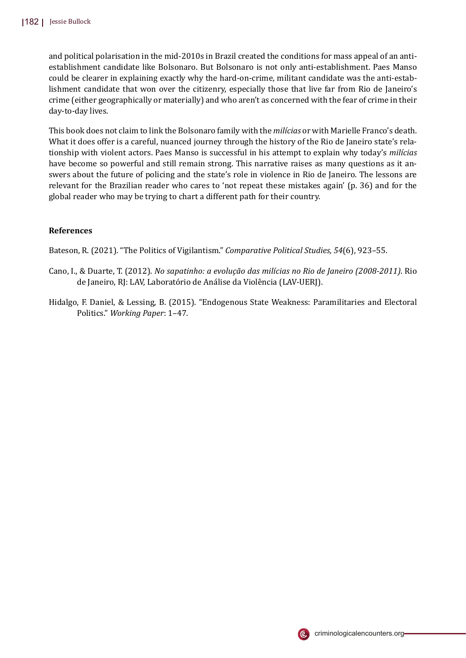and political polarisation in the mid-2010s in Brazil created the conditions for mass appeal of an antiestablishment candidate like Bolsonaro. But Bolsonaro is not only anti-establishment. Paes Manso could be clearer in explaining exactly why the hard-on-crime, militant candidate was the anti-establishment candidate that won over the citizenry, especially those that live far from Rio de Janeiro's crime (either geographically or materially) and who aren't as concerned with the fear of crime in their day-to-day lives.

This book does not claim to link the Bolsonaro family with the *milícias* or with Marielle Franco's death. What it does offer is a careful, nuanced journey through the history of the Rio de Janeiro state's relationship with violent actors. Paes Manso is successful in his attempt to explain why today's *milícias* have become so powerful and still remain strong. This narrative raises as many questions as it answers about the future of policing and the state's role in violence in Rio de Janeiro. The lessons are relevant for the Brazilian reader who cares to 'not repeat these mistakes again' (p. 36) and for the global reader who may be trying to chart a different path for their country.

## **References**

Bateson, R. (2021). "The Politics of Vigilantism." *Comparative Political Studies, 54*(6), 923–55.

- Cano, I., & Duarte, T. (2012). *No sapatinho: a evolução das milícias no Rio de Janeiro (2008-2011)*. Rio de Janeiro, RJ: LAV, Laborató rio de Análise da Violência (LAV-UERJ).
- Hidalgo, F. Daniel, & Lessing, B. (2015). "Endogenous State Weakness: Paramilitaries and Electoral Politics." *Working Paper*: 1–47.